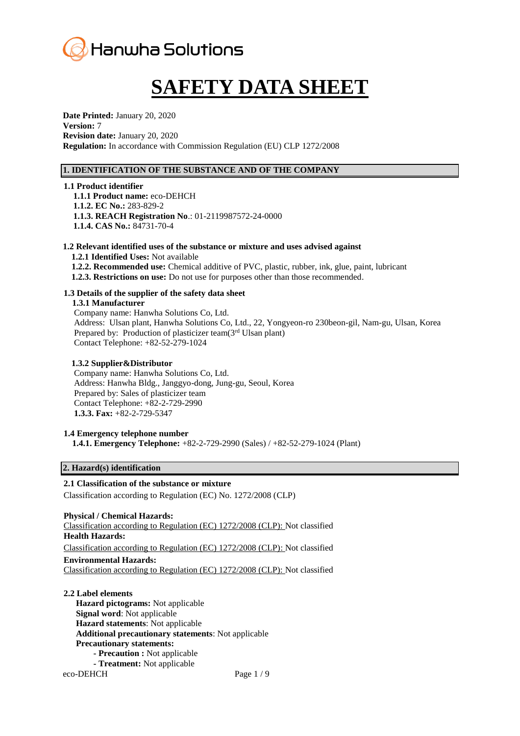

# **SAFETY DATA SHEET**

**Date Printed:** January 20, 2020 **Version:** 7 **Revision date:** January 20, 2020 **Regulation:** In accordance with Commission Regulation (EU) CLP 1272/2008

# **1. IDENTIFICATION OF THE SUBSTANCE AND OF THE COMPANY**

**1.1 Product identifier 1.1.1 Product name:** eco-DEHCH **1.1.2. EC No.:** 283-829-2 **1.1.3. REACH Registration No**.: 01-2119987572-24-0000 **1.1.4. CAS No.:** 84731-70-4

# **1.2 Relevant identified uses of the substance or mixture and uses advised against**

**1.2.1 Identified Uses:** Not available **1.2.2. Recommended use:** Chemical additive of PVC, plastic, rubber, ink, glue, paint, lubricant **1.2.3. Restrictions on use:** Do not use for purposes other than those recommended.

# **1.3 Details of the supplier of the safety data sheet**

**1.3.1 Manufacturer**

Company name: Hanwha Solutions Co, Ltd. Address: Ulsan plant, Hanwha Solutions Co, Ltd., 22, Yongyeon-ro 230beon-gil, Nam-gu, Ulsan, Korea Prepared by: Production of plasticizer team(3<sup>rd</sup> Ulsan plant) Contact Telephone: +82-52-279-1024

### **1.3.2 Supplier&Distributor**

Company name: Hanwha Solutions Co, Ltd. Address: Hanwha Bldg., Janggyo-dong, Jung-gu, Seoul, Korea Prepared by: Sales of plasticizer team Contact Telephone: +82-2-729-2990 **1.3.3. Fax:** +82-2-729-5347

# **1.4 Emergency telephone number**

**1.4.1. Emergency Telephone:** +82-2-729-2990 (Sales) / +82-52-279-1024 (Plant)

# **2. Hazard(s) identification**

# **2.1 Classification of the substance or mixture**

Classification according to Regulation (EC) No. 1272/2008 (CLP)

#### **Physical / Chemical Hazards:**

Classification according to Regulation (EC) 1272/2008 (CLP): Not classified **Health Hazards:**

Classification according to Regulation (EC) 1272/2008 (CLP): Not classified

# **Environmental Hazards:**

Classification according to Regulation (EC) 1272/2008 (CLP): Not classified

eco-DEHCH Page 1/9 **2.2 Label elements Hazard pictograms:** Not applicable **Signal word**: Not applicable **Hazard statements**: Not applicable **Additional precautionary statements**: Not applicable **Precautionary statements: - Precaution :** Not applicable **- Treatment:** Not applicable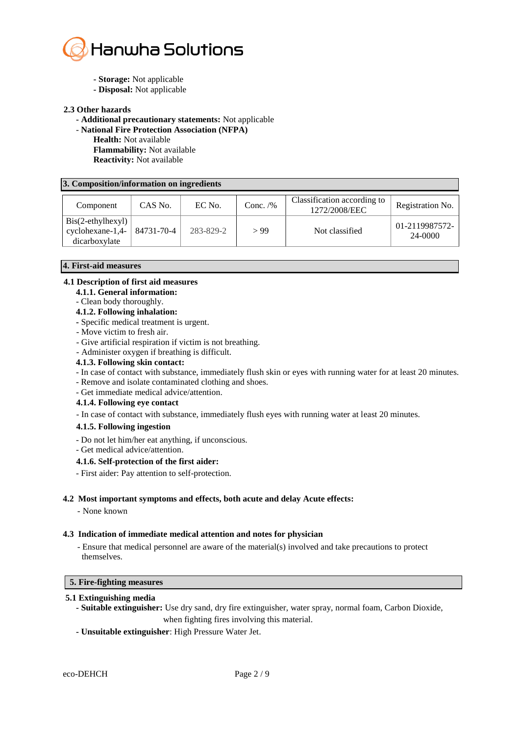

- **- Storage:** Not applicable
- **- Disposal:** Not applicable

#### **2.3 Other hazards**

- **- Additional precautionary statements:** Not applicable
- **National Fire Protection Association (NFPA)**
	- **Health:** Not available **Flammability:** Not available
	- **Reactivity:** Not available

#### **3. Composition/information on ingredients**

| Component                                                                | CAS No.    | EC No.    | Conc. $/$ % | Classification according to<br>1272/2008/EEC | Registration No.          |
|--------------------------------------------------------------------------|------------|-----------|-------------|----------------------------------------------|---------------------------|
| $\text{Bis}(2-\text{ethylhexyl})$<br>$cyclohexane-1,4-$<br>dicarboxylate | 84731-70-4 | 283-829-2 | > 99        | Not classified                               | 01-2119987572-<br>24-0000 |

# **4. First-aid measures**

# **4.1 Description of first aid measures**

- **4.1.1. General information:**
- Clean body thoroughly.

#### **4.1.2. Following inhalation:**

- **-** Specific medical treatment is urgent.
- Move victim to fresh air.
- Give artificial respiration if victim is not breathing.
- Administer oxygen if breathing is difficult.
- **4.1.3. Following skin contact:**
- In case of contact with substance, immediately flush skin or eyes with running water for at least 20 minutes.
- Remove and isolate contaminated clothing and shoes.
- Get immediate medical advice/attention.

# **4.1.4. Following eye contact**

- In case of contact with substance, immediately flush eyes with running water at least 20 minutes.
- **4.1.5. Following ingestion**
- Do not let him/her eat anything, if unconscious.
- Get medical advice/attention.

# **4.1.6. Self-protection of the first aider:**

- First aider: Pay attention to self-protection.

#### **4.2 Most important symptoms and effects, both acute and delay Acute effects:**

- None known

#### **4.3 Indication of immediate medical attention and notes for physician**

- Ensure that medical personnel are aware of the material(s) involved and take precautions to protect themselves.

#### **5. Fire-fighting measures**

# **5.1 Extinguishing media**

- **- Suitable extinguisher:** Use dry sand, dry fire extinguisher, water spray, normal foam, Carbon Dioxide, when fighting fires involving this material.
- **- Unsuitable extinguisher**: High Pressure Water Jet.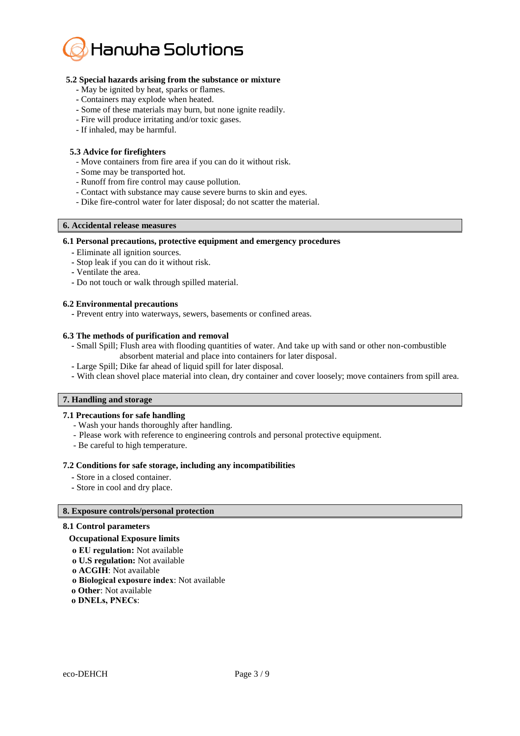

#### **5.2 Special hazards arising from the substance or mixture**

- **-** May be ignited by heat, sparks or flames.
- **-** Containers may explode when heated.
- **-** Some of these materials may burn, but none ignite readily.
- Fire will produce irritating and/or toxic gases.
- If inhaled, may be harmful.

### **5.3 Advice for firefighters**

- Move containers from fire area if you can do it without risk.
- Some may be transported hot.
- Runoff from fire control may cause pollution.
- Contact with substance may cause severe burns to skin and eyes.
- Dike fire-control water for later disposal; do not scatter the material.

#### **6. Accidental release measures**

#### **6.1 Personal precautions, protective equipment and emergency procedures**

- **-** Eliminate all ignition sources.
- **-** Stop leak if you can do it without risk.
- **-** Ventilate the area.
- **-** Do not touch or walk through spilled material.

#### **6.2 Environmental precautions**

**-** Prevent entry into waterways, sewers, basements or confined areas.

#### **6.3 The methods of purification and removal**

- **-** Small Spill; Flush area with flooding quantities of water. And take up with sand or other non-combustible absorbent material and place into containers for later disposal.
- **-** Large Spill; Dike far ahead of liquid spill for later disposal.
- **-** With clean shovel place material into clean, dry container and cover loosely; move containers from spill area.

# **7. Handling and storage**

# **7.1 Precautions for safe handling**

- Wash your hands thoroughly after handling.
- Please work with reference to engineering controls and personal protective equipment.
- Be careful to high temperature.

#### **7.2 Conditions for safe storage, including any incompatibilities**

- **-** Store in a closed container.
- **-** Store in cool and dry place.

# **8. Exposure controls/personal protection**

#### **8.1 Control parameters**

#### **Occupational Exposure limits**

- **ο EU regulation:** Not available
- **ο U.S regulation:** Not available
- **ο ACGIH**: Not available
- **ο Biological exposure index**: Not available
- **ο Other**: Not available
- **ο DNELs, PNECs**: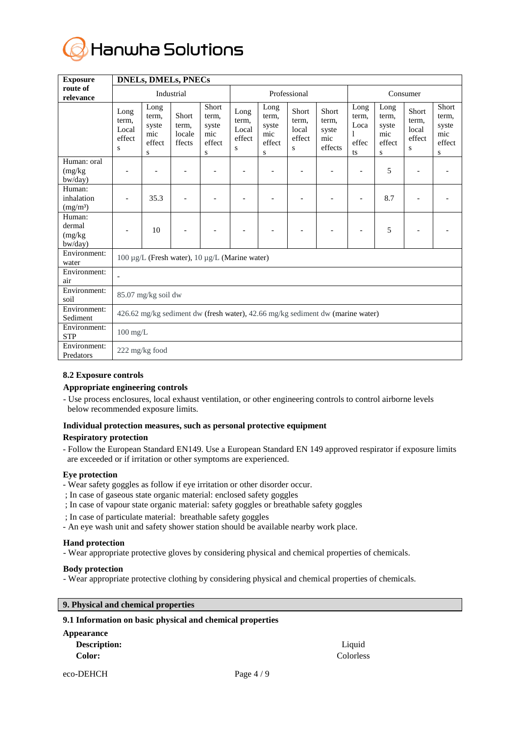

| <b>Exposure</b>                              | <b>DNELs, DMELs, PNECs</b>                                                     |                                              |                                    |                                                      |                                       |                                              |                                        |                                                  |                                           |                                              |                                        |                                               |
|----------------------------------------------|--------------------------------------------------------------------------------|----------------------------------------------|------------------------------------|------------------------------------------------------|---------------------------------------|----------------------------------------------|----------------------------------------|--------------------------------------------------|-------------------------------------------|----------------------------------------------|----------------------------------------|-----------------------------------------------|
| route of<br>relevance                        | Industrial                                                                     |                                              |                                    | Professional                                         |                                       |                                              |                                        | Consumer                                         |                                           |                                              |                                        |                                               |
|                                              | Long<br>term,<br>Local<br>effect<br>S                                          | Long<br>term,<br>syste<br>mic<br>effect<br>S | Short<br>term,<br>locale<br>ffects | <b>Short</b><br>term,<br>syste<br>mic<br>effect<br>S | Long<br>term,<br>Local<br>effect<br>S | Long<br>term,<br>syste<br>mic<br>effect<br>S | Short<br>term,<br>local<br>effect<br>S | <b>Short</b><br>term,<br>syste<br>mic<br>effects | Long<br>term,<br>Loca<br>1<br>effec<br>ts | Long<br>term,<br>syste<br>mic<br>effect<br>S | Short<br>term,<br>local<br>effect<br>S | Short<br>term,<br>syste<br>mic<br>effect<br>S |
| Human: oral<br>(mg/kg)<br>bw/day)            |                                                                                |                                              | $\overline{a}$                     |                                                      |                                       |                                              |                                        |                                                  | $\overline{a}$                            | 5                                            |                                        |                                               |
| Human:<br>inhalation<br>(mg/m <sup>3</sup> ) |                                                                                | 35.3                                         |                                    |                                                      |                                       |                                              |                                        |                                                  |                                           | 8.7                                          |                                        |                                               |
| Human:<br>dermal<br>(mg/kg)<br>bw/day)       |                                                                                | 10                                           |                                    |                                                      |                                       |                                              |                                        |                                                  |                                           | 5                                            |                                        |                                               |
| Environment:<br>water                        | 100 μg/L (Fresh water), 10 μg/L (Marine water)                                 |                                              |                                    |                                                      |                                       |                                              |                                        |                                                  |                                           |                                              |                                        |                                               |
| Environment:<br>air                          |                                                                                |                                              |                                    |                                                      |                                       |                                              |                                        |                                                  |                                           |                                              |                                        |                                               |
| Environment:<br>soil                         | 85.07 mg/kg soil dw                                                            |                                              |                                    |                                                      |                                       |                                              |                                        |                                                  |                                           |                                              |                                        |                                               |
| Environment:<br>Sediment                     | 426.62 mg/kg sediment dw (fresh water), 42.66 mg/kg sediment dw (marine water) |                                              |                                    |                                                      |                                       |                                              |                                        |                                                  |                                           |                                              |                                        |                                               |
| Environment:<br><b>STP</b>                   | $100$ mg/L                                                                     |                                              |                                    |                                                      |                                       |                                              |                                        |                                                  |                                           |                                              |                                        |                                               |
| Environment:<br>Predators                    | 222 mg/kg food                                                                 |                                              |                                    |                                                      |                                       |                                              |                                        |                                                  |                                           |                                              |                                        |                                               |

# **8.2 Exposure controls**

# **Appropriate engineering controls**

- Use process enclosures, local exhaust ventilation, or other engineering controls to control airborne levels below recommended exposure limits.

# **Individual protection measures, such as personal protective equipment**

# **Respiratory protection**

- Follow the European Standard EN149. Use a European Standard EN 149 approved respirator if exposure limits are exceeded or if irritation or other symptoms are experienced.

# **Eye protection**

- Wear safety goggles as follow if eye irritation or other disorder occur.
- ; In case of gaseous state organic material: enclosed safety goggles
- ; In case of vapour state organic material: safety goggles or breathable safety goggles
- ; In case of particulate material: breathable safety goggles
- An eye wash unit and safety shower station should be available nearby work place.

# **Hand protection**

- Wear appropriate protective gloves by considering physical and chemical properties of chemicals.

#### **Body protection**

- Wear appropriate protective clothing by considering physical and chemical properties of chemicals.

# **9. Physical and chemical properties**

# **9.1 Information on basic physical and chemical properties**

| Appearance          |          |
|---------------------|----------|
| <b>Description:</b> | Liquid   |
| <b>Color:</b>       | Colorles |

**Color:** Colorless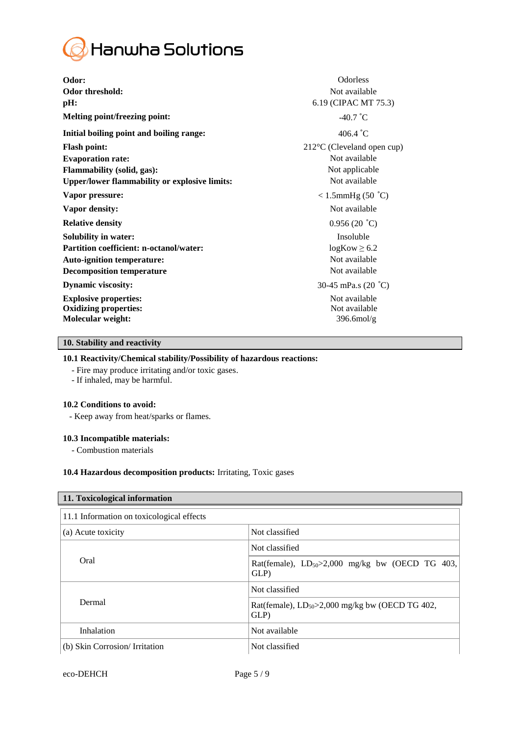

| Odor:                                                | Odorless                   |
|------------------------------------------------------|----------------------------|
| <b>Odor threshold:</b>                               | Not available              |
| pH:                                                  | 6.19 (CIPAC MT 75.3)       |
| <b>Melting point/freezing point:</b>                 | $-40.7$ °C                 |
| Initial boiling point and boiling range:             | 406.4 $^{\circ}$ C         |
| <b>Flash point:</b>                                  | 212°C (Cleveland open cup) |
| <b>Evaporation rate:</b>                             | Not available              |
| Flammability (solid, gas):                           | Not applicable             |
| <b>Upper/lower flammability or explosive limits:</b> | Not available              |
| Vapor pressure:                                      | $< 1.5$ mmHg (50 °C)       |
| Vapor density:                                       | Not available              |
| <b>Relative density</b>                              | 0.956(20 °C)               |
| <b>Solubility in water:</b>                          | Insoluble                  |
| <b>Partition coefficient: n-octanol/water:</b>       | $logKow \ge 6.2$           |
| <b>Auto-ignition temperature:</b>                    | Not available              |
| <b>Decomposition temperature</b>                     | Not available              |
| <b>Dynamic viscosity:</b>                            | 30-45 mPa.s $(20 °C)$      |
| <b>Explosive properties:</b>                         | Not available              |
| <b>Oxidizing properties:</b>                         | Not available              |
| Molecular weight:                                    | $396.6 \text{mol/g}$       |
|                                                      |                            |

# **10. Stability and reactivity**

# **10.1 Reactivity/Chemical stability/Possibility of hazardous reactions:**

- Fire may produce irritating and/or toxic gases.
- If inhaled, may be harmful.

#### **10.2 Conditions to avoid:**

- Keep away from heat/sparks or flames.

#### **10.3 Incompatible materials:**

- Combustion materials

# **10.4 Hazardous decomposition products:** Irritating, Toxic gases

| 11. Toxicological information             |                                                               |  |  |
|-------------------------------------------|---------------------------------------------------------------|--|--|
| 11.1 Information on toxicological effects |                                                               |  |  |
| (a) Acute toxicity                        | Not classified                                                |  |  |
|                                           | Not classified                                                |  |  |
| Oral                                      | Rat(female), $LD_{50} > 2,000$ mg/kg bw (OECD TG 403,<br>GLP) |  |  |
|                                           | Not classified                                                |  |  |
| Dermal                                    | Rat(female), $LD_{50} > 2,000$ mg/kg bw (OECD TG 402,<br>GLP) |  |  |
| Inhalation                                | Not available                                                 |  |  |
| (b) Skin Corrosion/Irritation             | Not classified                                                |  |  |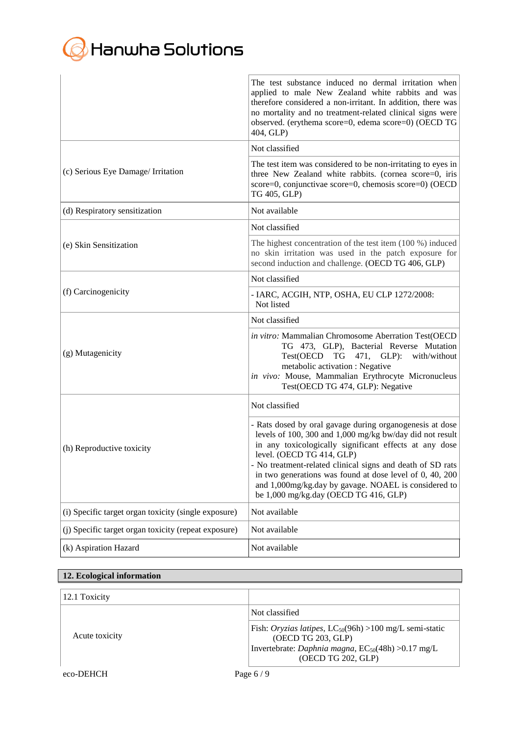# **G** Hanwha Solutions

|                                                      | The test substance induced no dermal irritation when<br>applied to male New Zealand white rabbits and was<br>therefore considered a non-irritant. In addition, there was<br>no mortality and no treatment-related clinical signs were<br>observed. (erythema score=0, edema score=0) (OECD TG<br>404, GLP)                                                                                                                             |
|------------------------------------------------------|----------------------------------------------------------------------------------------------------------------------------------------------------------------------------------------------------------------------------------------------------------------------------------------------------------------------------------------------------------------------------------------------------------------------------------------|
|                                                      | Not classified                                                                                                                                                                                                                                                                                                                                                                                                                         |
| (c) Serious Eye Damage/ Irritation                   | The test item was considered to be non-irritating to eyes in<br>three New Zealand white rabbits. (cornea score=0, iris<br>score=0, conjunctivae score=0, chemosis score=0) (OECD<br>TG 405, GLP)                                                                                                                                                                                                                                       |
| (d) Respiratory sensitization                        | Not available                                                                                                                                                                                                                                                                                                                                                                                                                          |
|                                                      | Not classified                                                                                                                                                                                                                                                                                                                                                                                                                         |
| (e) Skin Sensitization                               | The highest concentration of the test item $(100\%)$ induced<br>no skin irritation was used in the patch exposure for<br>second induction and challenge. (OECD TG 406, GLP)                                                                                                                                                                                                                                                            |
|                                                      | Not classified                                                                                                                                                                                                                                                                                                                                                                                                                         |
| (f) Carcinogenicity                                  | - IARC, ACGIH, NTP, OSHA, EU CLP 1272/2008:<br>Not listed                                                                                                                                                                                                                                                                                                                                                                              |
|                                                      | Not classified                                                                                                                                                                                                                                                                                                                                                                                                                         |
| (g) Mutagenicity                                     | in vitro: Mammalian Chromosome Aberration Test(OECD<br>TG 473, GLP), Bacterial Reverse Mutation<br>Test(OECD TG 471, GLP):<br>with/without<br>metabolic activation : Negative<br>in vivo: Mouse, Mammalian Erythrocyte Micronucleus<br>Test(OECD TG 474, GLP): Negative                                                                                                                                                                |
|                                                      | Not classified                                                                                                                                                                                                                                                                                                                                                                                                                         |
| (h) Reproductive toxicity                            | - Rats dosed by oral gavage during organogenesis at dose<br>levels of 100, 300 and 1,000 mg/kg bw/day did not result<br>in any toxicologically significant effects at any dose<br>level. (OECD TG 414, GLP)<br>- No treatment-related clinical signs and death of SD rats<br>in two generations was found at dose level of 0, 40, 200<br>and 1,000mg/kg.day by gavage. NOAEL is considered to<br>be 1,000 mg/kg.day (OECD TG 416, GLP) |
| (i) Specific target organ toxicity (single exposure) | Not available                                                                                                                                                                                                                                                                                                                                                                                                                          |
| (i) Specific target organ toxicity (repeat exposure) | Not available                                                                                                                                                                                                                                                                                                                                                                                                                          |
| (k) Aspiration Hazard                                | Not available                                                                                                                                                                                                                                                                                                                                                                                                                          |

# **12. Ecological information**

| 12.1 Toxicity  |                                                                                                                                                                                     |
|----------------|-------------------------------------------------------------------------------------------------------------------------------------------------------------------------------------|
|                | Not classified                                                                                                                                                                      |
| Acute toxicity | Fish: Oryzias latipes, $LC_{50}(96h) > 100$ mg/L semi-static<br>(OECD TG 203, GLP)<br>Invertebrate: <i>Daphnia magna</i> , EC <sub>50</sub> (48h) > 0.17 mg/L<br>(OECD TG 202, GLP) |
| eco-DEHCH      | Page $6/9$                                                                                                                                                                          |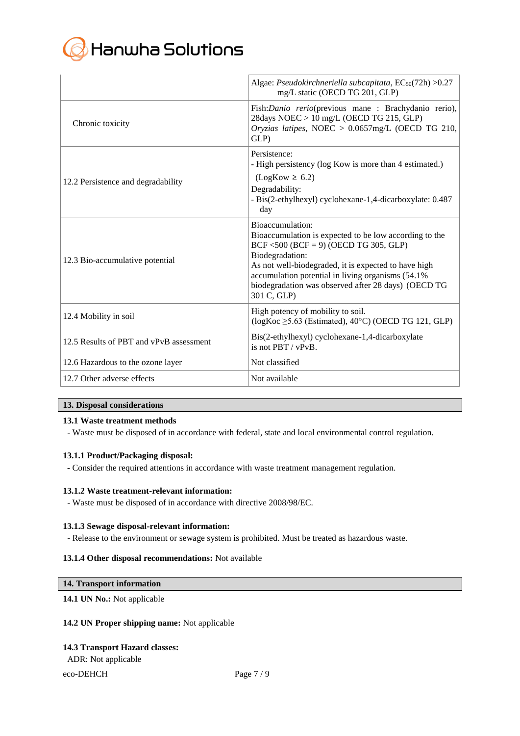

|                                         | Algae: Pseudokirchneriella subcapitata, $EC_{50}(72h) > 0.27$<br>mg/L static (OECD TG 201, GLP)                                                                                                                                                                                                                                  |
|-----------------------------------------|----------------------------------------------------------------------------------------------------------------------------------------------------------------------------------------------------------------------------------------------------------------------------------------------------------------------------------|
| Chronic toxicity                        | Fish: Danio rerio(previous mane : Brachydanio rerio),<br>28days NOEC > 10 mg/L (OECD TG 215, GLP)<br>Oryzias latipes, NOEC > 0.0657mg/L (OECD TG 210,<br>GLP)                                                                                                                                                                    |
| 12.2 Persistence and degradability      | Persistence:<br>- High persistency (log Kow is more than 4 estimated.)<br>$(LogKow \ge 6.2)$<br>Degradability:<br>- Bis(2-ethylhexyl) cyclohexane-1,4-dicarboxylate: 0.487<br>day                                                                                                                                                |
| 12.3 Bio-accumulative potential         | Bioaccumulation:<br>Bioaccumulation is expected to be low according to the<br>$BCF < 500$ ( $BCF = 9$ ) (OECD TG 305, GLP)<br>Biodegradation:<br>As not well-biodegraded, it is expected to have high<br>accumulation potential in living organisms (54.1%<br>biodegradation was observed after 28 days) (OECD TG<br>301 C, GLP) |
| 12.4 Mobility in soil                   | High potency of mobility to soil.<br>$(\log Koc \geq 5.63$ (Estimated), 40°C) (OECD TG 121, GLP)                                                                                                                                                                                                                                 |
| 12.5 Results of PBT and vPvB assessment | Bis(2-ethylhexyl) cyclohexane-1,4-dicarboxylate<br>is not PBT / vPvB.                                                                                                                                                                                                                                                            |
| 12.6 Hazardous to the ozone layer       | Not classified                                                                                                                                                                                                                                                                                                                   |
| 12.7 Other adverse effects              | Not available                                                                                                                                                                                                                                                                                                                    |

# **13. Disposal considerations**

# **13.1 Waste treatment methods**

- Waste must be disposed of in accordance with federal, state and local environmental control regulation.

#### **13.1.1 Product/Packaging disposal:**

**-** Consider the required attentions in accordance with waste treatment management regulation.

#### **13.1.2 Waste treatment-relevant information:**

- Waste must be disposed of in accordance with directive 2008/98/EC.

# **13.1.3 Sewage disposal-relevant information:**

- Release to the environment or sewage system is prohibited. Must be treated as hazardous waste.

#### **13.1.4 Other disposal recommendations:** Not available

### **14. Transport information**

# **14.1 UN No.:** Not applicable

#### **14.2 UN Proper shipping name:** Not applicable

#### **14.3 Transport Hazard classes:**

ADR: Not applicable

# eco-DEHCH Page 7 / 9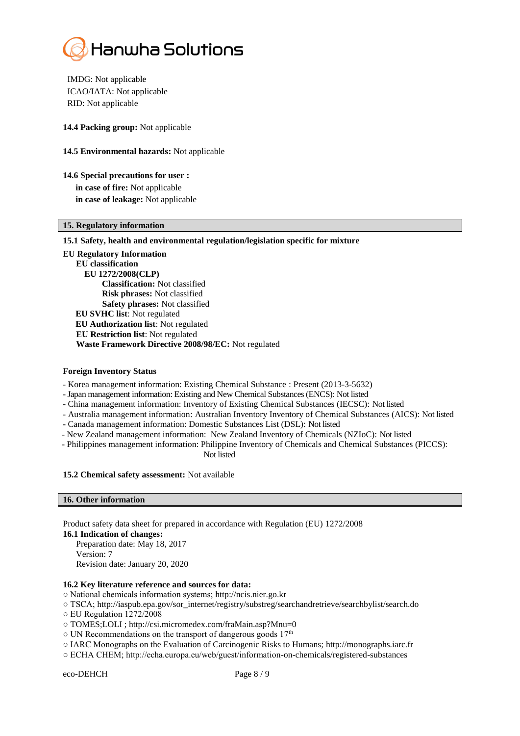

IMDG: Not applicable ICAO/IATA: Not applicable RID: Not applicable

**14.4 Packing group:** Not applicable

- **14.5 Environmental hazards:** Not applicable
- **14.6 Special precautions for user : in case of fire:** Not applicable **in case of leakage:** Not applicable

# **15. Regulatory information**

#### **15.1 Safety, health and environmental regulation/legislation specific for mixture**

**EU Regulatory Information EU classification EU 1272/2008(CLP) Classification:** Not classified  **Risk phrases:** Not classified  **Safety phrases:** Not classified **EU SVHC list**: Not regulated **EU Authorization list**: Not regulated **EU Restriction list**: Not regulated  **Waste Framework Directive 2008/98/EC:** Not regulated

#### **Foreign Inventory Status**

- Korea management information: Existing Chemical Substance : Present (2013-3-5632)
- -Japan management information: Existing and New Chemical Substances (ENCS): Not listed
- China management information: Inventory of Existing Chemical Substances (IECSC): Not listed
- Australia management information: Australian Inventory Inventory of Chemical Substances (AICS): Not listed
- Canada management information: Domestic Substances List (DSL): Not listed
- New Zealand management information: New Zealand Inventory of Chemicals (NZIoC): Not listed
- Philippines management information: Philippine Inventory of Chemicals and Chemical Substances (PICCS): Not listed

#### **15.2 Chemical safety assessment:** Not available

#### **16. Other information**

Product safety data sheet for prepared in accordance with Regulation (EU) 1272/2008

**16.1 Indication of changes:** Preparation date: May 18, 2017 Version: 7 Revision date: January 20, 2020

#### **16.2 Key literature reference and sources for data:**

- National chemicals information systems; http://ncis.nier.go.kr
- TSCA; http://iaspub.epa.gov/sor\_internet/registry/substreg/searchandretrieve/searchbylist/search.do
- EU Regulation 1272/2008
- TOMES;LOLI ; http://csi.micromedex.com/fraMain.asp?Mnu=0
- o UN Recommendations on the transport of dangerous goods 17<sup>th</sup>
- IARC Monographs on the Evaluation of Carcinogenic Risks to Humans; http://monographs.iarc.fr
- ECHA CHEM; http://echa.europa.eu/web/guest/information-on-chemicals/registered-substances

eco-DEHCH Page 8 / 9